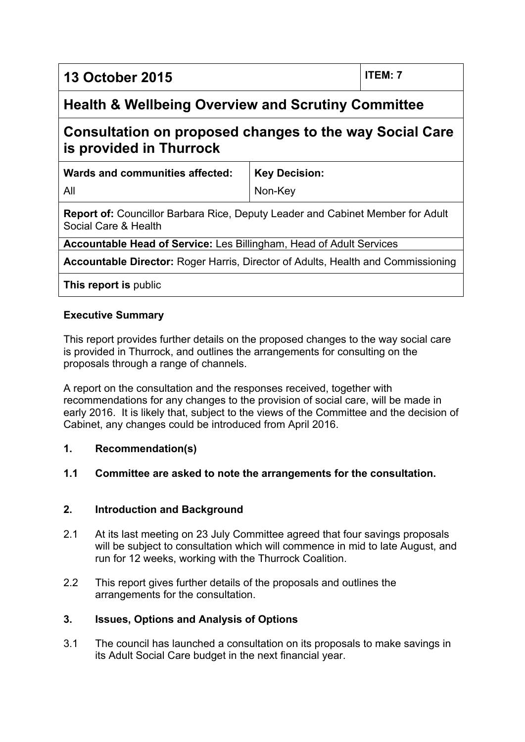**13 October 2015 ITEM: 7**

# **Health & Wellbeing Overview and Scrutiny Committee**

# **Consultation on proposed changes to the way Social Care is provided in Thurrock**

**Wards and communities affected:**

**Key Decision:**

All

Non-Key

**Report of:** Councillor Barbara Rice, Deputy Leader and Cabinet Member for Adult Social Care & Health

**Accountable Head of Service:** Les Billingham, Head of Adult Services

**Accountable Director:** Roger Harris, Director of Adults, Health and Commissioning

**This report is** public

### **Executive Summary**

This report provides further details on the proposed changes to the way social care is provided in Thurrock, and outlines the arrangements for consulting on the proposals through a range of channels.

A report on the consultation and the responses received, together with recommendations for any changes to the provision of social care, will be made in early 2016. It is likely that, subject to the views of the Committee and the decision of Cabinet, any changes could be introduced from April 2016.

#### **1. Recommendation(s)**

#### **1.1 Committee are asked to note the arrangements for the consultation.**

#### **2. Introduction and Background**

- 2.1 At its last meeting on 23 July Committee agreed that four savings proposals will be subject to consultation which will commence in mid to late August, and run for 12 weeks, working with the Thurrock Coalition.
- 2.2 This report gives further details of the proposals and outlines the arrangements for the consultation.

#### **3. Issues, Options and Analysis of Options**

3.1 The council has launched a consultation on its proposals to make savings in its Adult Social Care budget in the next financial year.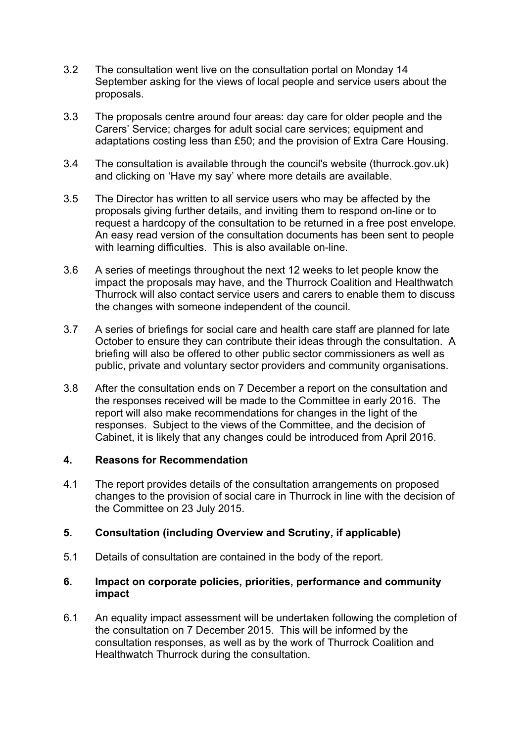- 3.2 The consultation went live on the consultation portal on Monday 14 September asking for the views of local people and service users about the proposals.
- 3.3 The proposals centre around four areas: day care for older people and the Carers' Service; charges for adult social care services; equipment and adaptations costing less than £50; and the provision of Extra Care Housing.
- 3.4 The consultation is available through the council's website (thurrock.gov.uk) and clicking on 'Have my say' where more details are available.
- 3.5 The Director has written to all service users who may be affected by the proposals giving further details, and inviting them to respond on-line or to request a hardcopy of the consultation to be returned in a free post envelope. An easy read version of the consultation documents has been sent to people with learning difficulties. This is also available on-line.
- 3.6 A series of meetings throughout the next 12 weeks to let people know the impact the proposals may have, and the Thurrock Coalition and Healthwatch Thurrock will also contact service users and carers to enable them to discuss the changes with someone independent of the council.
- 3.7 A series of briefings for social care and health care staff are planned for late October to ensure they can contribute their ideas through the consultation. A briefing will also be offered to other public sector commissioners as well as public, private and voluntary sector providers and community organisations.
- 3.8 After the consultation ends on 7 December a report on the consultation and the responses received will be made to the Committee in early 2016. The report will also make recommendations for changes in the light of the responses. Subject to the views of the Committee, and the decision of Cabinet, it is likely that any changes could be introduced from April 2016.

#### **4. Reasons for Recommendation**

4.1 The report provides details of the consultation arrangements on proposed changes to the provision of social care in Thurrock in line with the decision of the Committee on 23 July 2015.

#### **5. Consultation (including Overview and Scrutiny, if applicable)**

5.1 Details of consultation are contained in the body of the report.

#### **6. Impact on corporate policies, priorities, performance and community impact**

6.1 An equality impact assessment will be undertaken following the completion of the consultation on 7 December 2015. This will be informed by the consultation responses, as well as by the work of Thurrock Coalition and Healthwatch Thurrock during the consultation.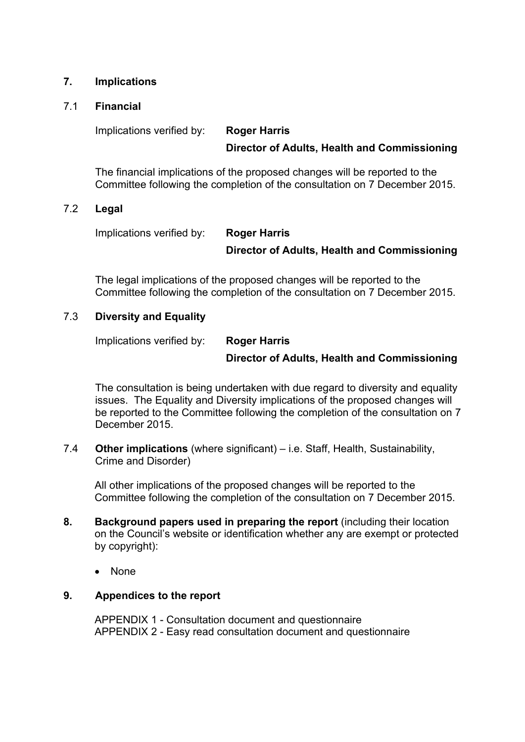#### **7. Implications**

#### 7.1 **Financial**

## Implications verified by: **Roger Harris Director of Adults, Health and Commissioning**

The financial implications of the proposed changes will be reported to the Committee following the completion of the consultation on 7 December 2015.

#### 7.2 **Legal**

Implications verified by: **Roger Harris Director of Adults, Health and Commissioning**

The legal implications of the proposed changes will be reported to the Committee following the completion of the consultation on 7 December 2015.

#### 7.3 **Diversity and Equality**

Implications verified by: **Roger Harris**

#### **Director of Adults, Health and Commissioning**

The consultation is being undertaken with due regard to diversity and equality issues. The Equality and Diversity implications of the proposed changes will be reported to the Committee following the completion of the consultation on 7 December 2015.

7.4 **Other implications** (where significant) – i.e. Staff, Health, Sustainability, Crime and Disorder)

All other implications of the proposed changes will be reported to the Committee following the completion of the consultation on 7 December 2015.

- **8. Background papers used in preparing the report** (including their location on the Council's website or identification whether any are exempt or protected by copyright):
	- None

#### **9. Appendices to the report**

APPENDIX 1 - Consultation document and questionnaire APPENDIX 2 - Easy read consultation document and questionnaire